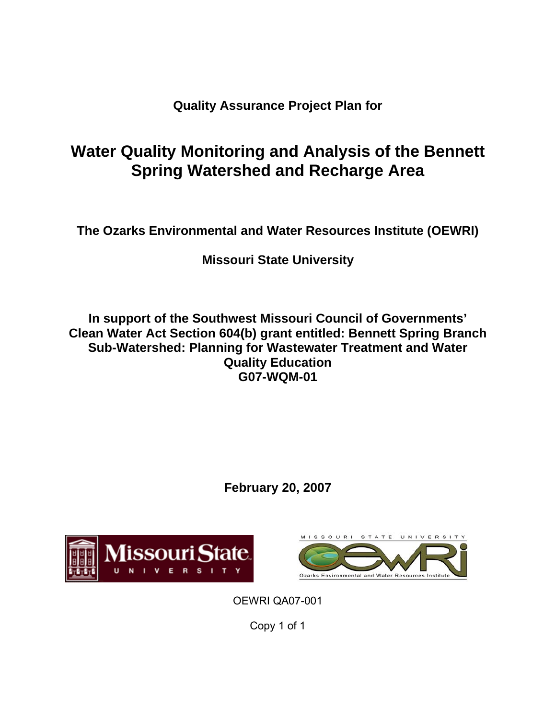**Quality Assurance Project Plan for** 

# **Water Quality Monitoring and Analysis of the Bennett Spring Watershed and Recharge Area**

**The Ozarks Environmental and Water Resources Institute (OEWRI)** 

**Missouri State University**

**In support of the Southwest Missouri Council of Governments' Clean Water Act Section 604(b) grant entitled: Bennett Spring Branch Sub-Watershed: Planning for Wastewater Treatment and Water Quality Education G07-WQM-01** 

**February 20, 2007**





OEWRI QA07-001

Copy 1 of 1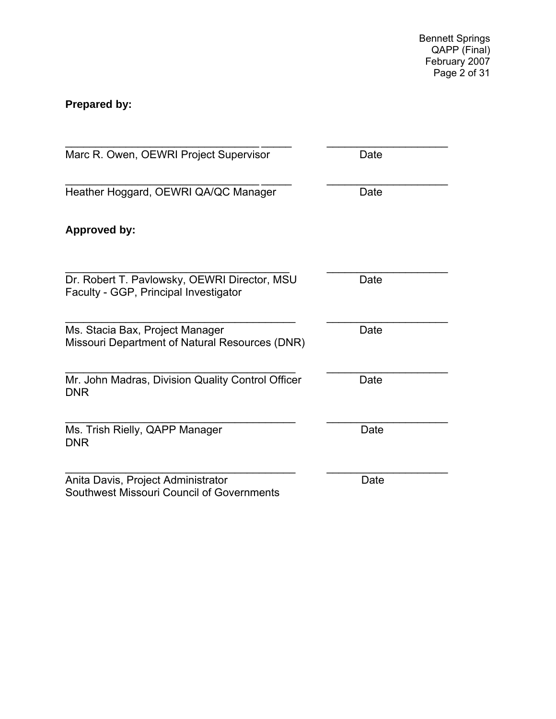Bennett Springs QAPP (Final) February 2007 Page 2 of 31

## **Prepared by:**

| Marc R. Owen, OEWRI Project Supervisor                                                | Date |
|---------------------------------------------------------------------------------------|------|
| Heather Hoggard, OEWRI QA/QC Manager                                                  | Date |
| <b>Approved by:</b>                                                                   |      |
| Dr. Robert T. Pavlowsky, OEWRI Director, MSU<br>Faculty - GGP, Principal Investigator | Date |
| Ms. Stacia Bax, Project Manager<br>Missouri Department of Natural Resources (DNR)     | Date |
| Mr. John Madras, Division Quality Control Officer<br><b>DNR</b>                       | Date |
| Ms. Trish Rielly, QAPP Manager<br><b>DNR</b>                                          | Date |
| Anita Davis, Project Administrator<br>Southwest Missouri Council of Governments       | Date |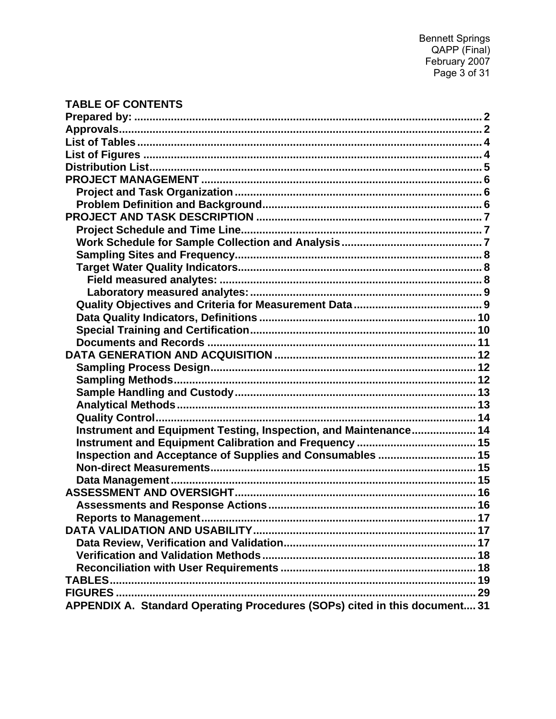### **TABLE OF CONTENTS**

| Instrument and Equipment Testing, Inspection, and Maintenance 14           |  |
|----------------------------------------------------------------------------|--|
|                                                                            |  |
| Inspection and Acceptance of Supplies and Consumables  15                  |  |
|                                                                            |  |
|                                                                            |  |
|                                                                            |  |
|                                                                            |  |
|                                                                            |  |
|                                                                            |  |
|                                                                            |  |
|                                                                            |  |
|                                                                            |  |
|                                                                            |  |
| FIGURES                                                                    |  |
| APPENDIX A. Standard Operating Procedures (SOPs) cited in this document 31 |  |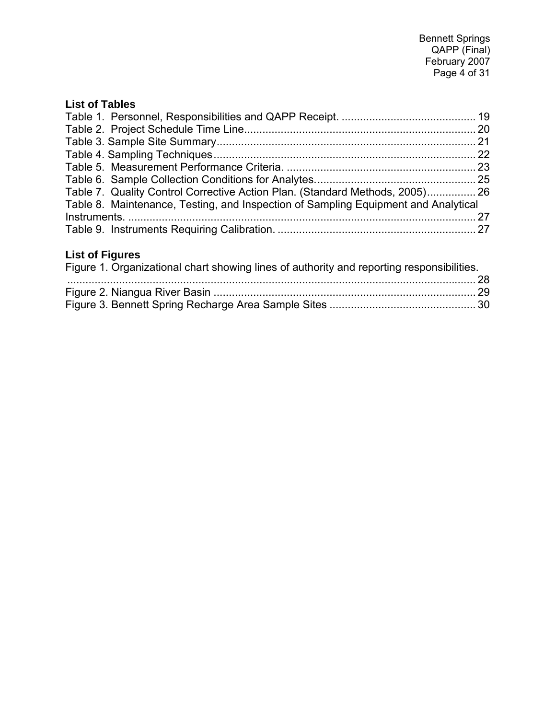### **List of Tables**

| Table 7. Quality Control Corrective Action Plan. (Standard Methods, 2005) 26       |  |
|------------------------------------------------------------------------------------|--|
| Table 8. Maintenance, Testing, and Inspection of Sampling Equipment and Analytical |  |
|                                                                                    |  |
|                                                                                    |  |

### **List of Figures**

| Figure 1. Organizational chart showing lines of authority and reporting responsibilities. |  |
|-------------------------------------------------------------------------------------------|--|
|                                                                                           |  |
|                                                                                           |  |
|                                                                                           |  |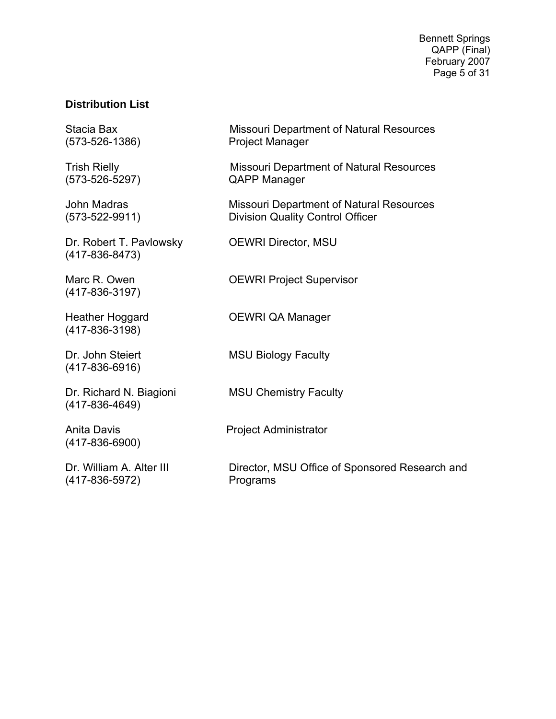Bennett Springs QAPP (Final) February 2007 Page 5 of 31

#### **Distribution List**

Dr. Robert T. Pavlowsky **OEWRI Director, MSU** (417-836-8473)

(417-836-3197)

(417-836-3198)

(417-836-6916)

(417-836-4649)

(417-836-6900)

(417-836-5972) Programs

Stacia Bax Missouri Department of Natural Resources (573-526-1386) Project Manager

Trish Rielly **Missouri Department of Natural Resources** (573-526-5297) QAPP Manager

John Madras **Missouri Department of Natural Resources** (573-522-9911) Division Quality Control Officer

Marc R. Owen **OEWRI** Project Supervisor

Heather Hoggard OEWRI QA Manager

Dr. John Steiert MSU Biology Faculty

Dr. Richard N. Biagioni MSU Chemistry Faculty

Anita Davis **Project Administrator** 

Dr. William A. Alter III Director, MSU Office of Sponsored Research and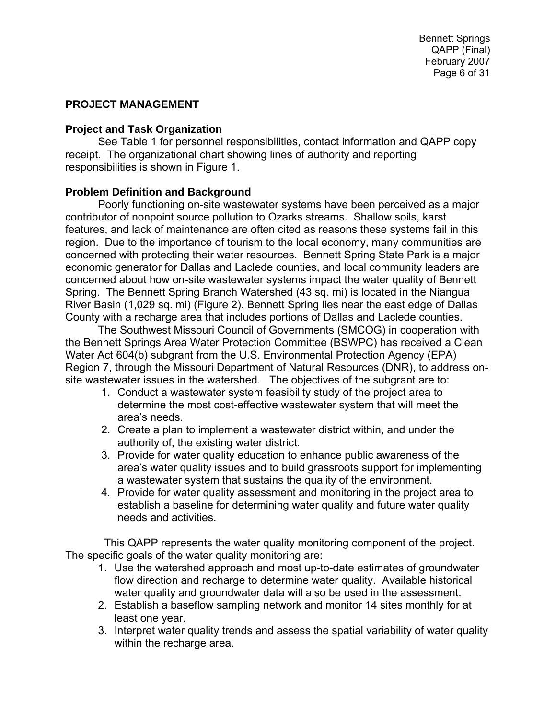#### **PROJECT MANAGEMENT**

#### **Project and Task Organization**

See Table 1 for personnel responsibilities, contact information and QAPP copy receipt. The organizational chart showing lines of authority and reporting responsibilities is shown in Figure 1.

#### **Problem Definition and Background**

Poorly functioning on-site wastewater systems have been perceived as a major contributor of nonpoint source pollution to Ozarks streams. Shallow soils, karst features, and lack of maintenance are often cited as reasons these systems fail in this region. Due to the importance of tourism to the local economy, many communities are concerned with protecting their water resources. Bennett Spring State Park is a major economic generator for Dallas and Laclede counties, and local community leaders are concerned about how on-site wastewater systems impact the water quality of Bennett Spring. The Bennett Spring Branch Watershed (43 sq. mi) is located in the Niangua River Basin (1,029 sq. mi) (Figure 2). Bennett Spring lies near the east edge of Dallas County with a recharge area that includes portions of Dallas and Laclede counties.

The Southwest Missouri Council of Governments (SMCOG) in cooperation with the Bennett Springs Area Water Protection Committee (BSWPC) has received a Clean Water Act 604(b) subgrant from the U.S. Environmental Protection Agency (EPA) Region 7, through the Missouri Department of Natural Resources (DNR), to address onsite wastewater issues in the watershed. The objectives of the subgrant are to:

- 1. Conduct a wastewater system feasibility study of the project area to determine the most cost-effective wastewater system that will meet the area's needs.
- 2. Create a plan to implement a wastewater district within, and under the authority of, the existing water district.
- 3. Provide for water quality education to enhance public awareness of the area's water quality issues and to build grassroots support for implementing a wastewater system that sustains the quality of the environment.
- 4. Provide for water quality assessment and monitoring in the project area to establish a baseline for determining water quality and future water quality needs and activities.

 This QAPP represents the water quality monitoring component of the project. The specific goals of the water quality monitoring are:

- 1. Use the watershed approach and most up-to-date estimates of groundwater flow direction and recharge to determine water quality. Available historical water quality and groundwater data will also be used in the assessment.
- 2. Establish a baseflow sampling network and monitor 14 sites monthly for at least one year.
- 3. Interpret water quality trends and assess the spatial variability of water quality within the recharge area.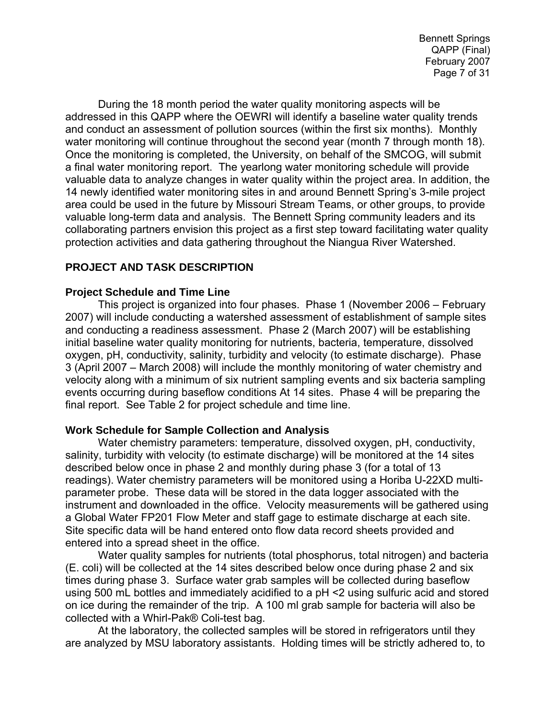Bennett Springs QAPP (Final) February 2007 Page 7 of 31

During the 18 month period the water quality monitoring aspects will be addressed in this QAPP where the OEWRI will identify a baseline water quality trends and conduct an assessment of pollution sources (within the first six months). Monthly water monitoring will continue throughout the second year (month 7 through month 18). Once the monitoring is completed, the University, on behalf of the SMCOG, will submit a final water monitoring report. The yearlong water monitoring schedule will provide valuable data to analyze changes in water quality within the project area. In addition, the 14 newly identified water monitoring sites in and around Bennett Spring's 3-mile project area could be used in the future by Missouri Stream Teams, or other groups, to provide valuable long-term data and analysis. The Bennett Spring community leaders and its collaborating partners envision this project as a first step toward facilitating water quality protection activities and data gathering throughout the Niangua River Watershed.

#### **PROJECT AND TASK DESCRIPTION**

#### **Project Schedule and Time Line**

This project is organized into four phases. Phase 1 (November 2006 – February 2007) will include conducting a watershed assessment of establishment of sample sites and conducting a readiness assessment. Phase 2 (March 2007) will be establishing initial baseline water quality monitoring for nutrients, bacteria, temperature, dissolved oxygen, pH, conductivity, salinity, turbidity and velocity (to estimate discharge). Phase 3 (April 2007 – March 2008) will include the monthly monitoring of water chemistry and velocity along with a minimum of six nutrient sampling events and six bacteria sampling events occurring during baseflow conditions At 14 sites. Phase 4 will be preparing the final report. See Table 2 for project schedule and time line.

#### **Work Schedule for Sample Collection and Analysis**

Water chemistry parameters: temperature, dissolved oxygen, pH, conductivity, salinity, turbidity with velocity (to estimate discharge) will be monitored at the 14 sites described below once in phase 2 and monthly during phase 3 (for a total of 13 readings). Water chemistry parameters will be monitored using a Horiba U-22XD multiparameter probe. These data will be stored in the data logger associated with the instrument and downloaded in the office. Velocity measurements will be gathered using a Global Water FP201 Flow Meter and staff gage to estimate discharge at each site. Site specific data will be hand entered onto flow data record sheets provided and entered into a spread sheet in the office.

Water quality samples for nutrients (total phosphorus, total nitrogen) and bacteria (E. coli) will be collected at the 14 sites described below once during phase 2 and six times during phase 3. Surface water grab samples will be collected during baseflow using 500 mL bottles and immediately acidified to a pH <2 using sulfuric acid and stored on ice during the remainder of the trip. A 100 ml grab sample for bacteria will also be collected with a Whirl-Pak® Coli-test bag.

At the laboratory, the collected samples will be stored in refrigerators until they are analyzed by MSU laboratory assistants. Holding times will be strictly adhered to, to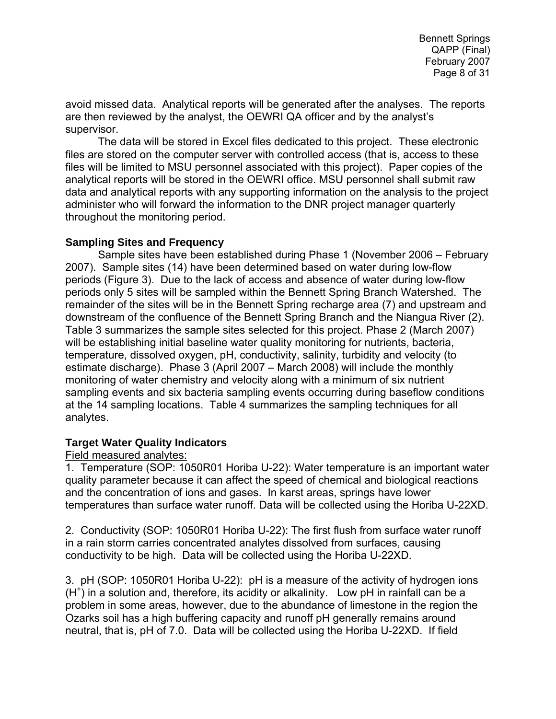avoid missed data. Analytical reports will be generated after the analyses. The reports are then reviewed by the analyst, the OEWRI QA officer and by the analyst's supervisor.

The data will be stored in Excel files dedicated to this project. These electronic files are stored on the computer server with controlled access (that is, access to these files will be limited to MSU personnel associated with this project). Paper copies of the analytical reports will be stored in the OEWRI office. MSU personnel shall submit raw data and analytical reports with any supporting information on the analysis to the project administer who will forward the information to the DNR project manager quarterly throughout the monitoring period.

#### **Sampling Sites and Frequency**

Sample sites have been established during Phase 1 (November 2006 – February 2007). Sample sites (14) have been determined based on water during low-flow periods (Figure 3). Due to the lack of access and absence of water during low-flow periods only 5 sites will be sampled within the Bennett Spring Branch Watershed. The remainder of the sites will be in the Bennett Spring recharge area (7) and upstream and downstream of the confluence of the Bennett Spring Branch and the Niangua River (2). Table 3 summarizes the sample sites selected for this project. Phase 2 (March 2007) will be establishing initial baseline water quality monitoring for nutrients, bacteria, temperature, dissolved oxygen, pH, conductivity, salinity, turbidity and velocity (to estimate discharge). Phase 3 (April 2007 – March 2008) will include the monthly monitoring of water chemistry and velocity along with a minimum of six nutrient sampling events and six bacteria sampling events occurring during baseflow conditions at the 14 sampling locations. Table 4 summarizes the sampling techniques for all analytes.

#### **Target Water Quality Indicators**

#### Field measured analytes:

1. Temperature (SOP: 1050R01 Horiba U-22): Water temperature is an important water quality parameter because it can affect the speed of chemical and biological reactions and the concentration of ions and gases. In karst areas, springs have lower temperatures than surface water runoff. Data will be collected using the Horiba U-22XD.

2. Conductivity (SOP: 1050R01 Horiba U-22): The first flush from surface water runoff in a rain storm carries concentrated analytes dissolved from surfaces, causing conductivity to be high. Data will be collected using the Horiba U-22XD.

3. pH (SOP: 1050R01 Horiba U-22): pH is a measure of the activity of hydrogen ions (H<sup>+</sup>) in a solution and, therefore, its acidity or alkalinity. Low pH in rainfall can be a problem in some areas, however, due to the abundance of limestone in the region the Ozarks soil has a high buffering capacity and runoff pH generally remains around neutral, that is, pH of 7.0. Data will be collected using the Horiba U-22XD. If field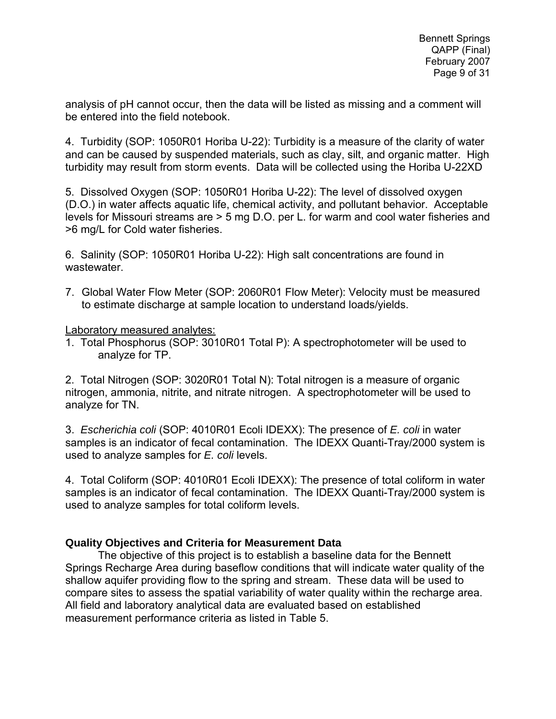analysis of pH cannot occur, then the data will be listed as missing and a comment will be entered into the field notebook.

4. Turbidity (SOP: 1050R01 Horiba U-22): Turbidity is a measure of the clarity of water and can be caused by suspended materials, such as clay, silt, and organic matter. High turbidity may result from storm events. Data will be collected using the Horiba U-22XD

5. Dissolved Oxygen (SOP: 1050R01 Horiba U-22): The level of dissolved oxygen (D.O.) in water affects aquatic life, chemical activity, and pollutant behavior. Acceptable levels for Missouri streams are > 5 mg D.O. per L. for warm and cool water fisheries and >6 mg/L for Cold water fisheries.

6. Salinity (SOP: 1050R01 Horiba U-22): High salt concentrations are found in wastewater.

7. Global Water Flow Meter (SOP: 2060R01 Flow Meter): Velocity must be measured to estimate discharge at sample location to understand loads/yields.

Laboratory measured analytes:

1. Total Phosphorus (SOP: 3010R01 Total P): A spectrophotometer will be used to analyze for TP.

2. Total Nitrogen (SOP: 3020R01 Total N): Total nitrogen is a measure of organic nitrogen, ammonia, nitrite, and nitrate nitrogen. A spectrophotometer will be used to analyze for TN.

3. *Escherichia coli* (SOP: 4010R01 Ecoli IDEXX): The presence of *E. coli* in water samples is an indicator of fecal contamination. The IDEXX Quanti-Tray/2000 system is used to analyze samples for *E. coli* levels.

4. Total Coliform (SOP: 4010R01 Ecoli IDEXX): The presence of total coliform in water samples is an indicator of fecal contamination. The IDEXX Quanti-Tray/2000 system is used to analyze samples for total coliform levels.

### **Quality Objectives and Criteria for Measurement Data**

 The objective of this project is to establish a baseline data for the Bennett Springs Recharge Area during baseflow conditions that will indicate water quality of the shallow aquifer providing flow to the spring and stream. These data will be used to compare sites to assess the spatial variability of water quality within the recharge area. All field and laboratory analytical data are evaluated based on established measurement performance criteria as listed in Table 5.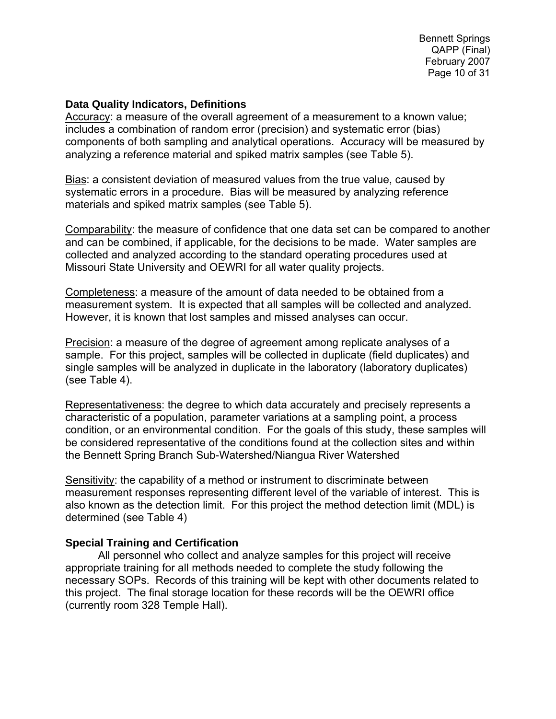Bennett Springs QAPP (Final) February 2007 Page 10 of 31

#### **Data Quality Indicators, Definitions**

Accuracy: a measure of the overall agreement of a measurement to a known value; includes a combination of random error (precision) and systematic error (bias) components of both sampling and analytical operations. Accuracy will be measured by analyzing a reference material and spiked matrix samples (see Table 5).

Bias: a consistent deviation of measured values from the true value, caused by systematic errors in a procedure. Bias will be measured by analyzing reference materials and spiked matrix samples (see Table 5).

Comparability: the measure of confidence that one data set can be compared to another and can be combined, if applicable, for the decisions to be made. Water samples are collected and analyzed according to the standard operating procedures used at Missouri State University and OEWRI for all water quality projects.

Completeness: a measure of the amount of data needed to be obtained from a measurement system. It is expected that all samples will be collected and analyzed. However, it is known that lost samples and missed analyses can occur.

Precision: a measure of the degree of agreement among replicate analyses of a sample. For this project, samples will be collected in duplicate (field duplicates) and single samples will be analyzed in duplicate in the laboratory (laboratory duplicates) (see Table 4).

Representativeness: the degree to which data accurately and precisely represents a characteristic of a population, parameter variations at a sampling point, a process condition, or an environmental condition. For the goals of this study, these samples will be considered representative of the conditions found at the collection sites and within the Bennett Spring Branch Sub-Watershed/Niangua River Watershed

Sensitivity: the capability of a method or instrument to discriminate between measurement responses representing different level of the variable of interest. This is also known as the detection limit. For this project the method detection limit (MDL) is determined (see Table 4)

#### **Special Training and Certification**

All personnel who collect and analyze samples for this project will receive appropriate training for all methods needed to complete the study following the necessary SOPs. Records of this training will be kept with other documents related to this project. The final storage location for these records will be the OEWRI office (currently room 328 Temple Hall).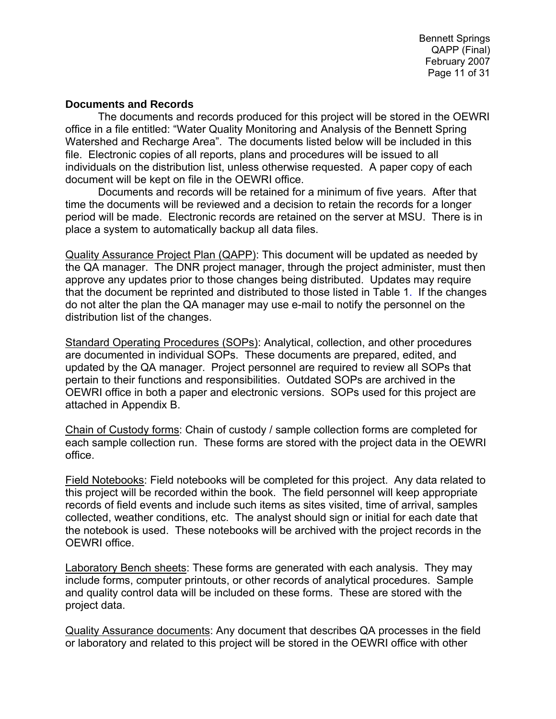Bennett Springs QAPP (Final) February 2007 Page 11 of 31

#### **Documents and Records**

The documents and records produced for this project will be stored in the OEWRI office in a file entitled: "Water Quality Monitoring and Analysis of the Bennett Spring Watershed and Recharge Area". The documents listed below will be included in this file. Electronic copies of all reports, plans and procedures will be issued to all individuals on the distribution list, unless otherwise requested. A paper copy of each document will be kept on file in the OEWRI office.

 Documents and records will be retained for a minimum of five years. After that time the documents will be reviewed and a decision to retain the records for a longer period will be made. Electronic records are retained on the server at MSU. There is in place a system to automatically backup all data files.

Quality Assurance Project Plan (QAPP): This document will be updated as needed by the QA manager. The DNR project manager, through the project administer, must then approve any updates prior to those changes being distributed. Updates may require that the document be reprinted and distributed to those listed in Table 1. If the changes do not alter the plan the QA manager may use e-mail to notify the personnel on the distribution list of the changes.

Standard Operating Procedures (SOPs): Analytical, collection, and other procedures are documented in individual SOPs. These documents are prepared, edited, and updated by the QA manager. Project personnel are required to review all SOPs that pertain to their functions and responsibilities. Outdated SOPs are archived in the OEWRI office in both a paper and electronic versions. SOPs used for this project are attached in Appendix B.

Chain of Custody forms: Chain of custody / sample collection forms are completed for each sample collection run. These forms are stored with the project data in the OEWRI office.

Field Notebooks: Field notebooks will be completed for this project. Any data related to this project will be recorded within the book. The field personnel will keep appropriate records of field events and include such items as sites visited, time of arrival, samples collected, weather conditions, etc. The analyst should sign or initial for each date that the notebook is used. These notebooks will be archived with the project records in the OEWRI office.

Laboratory Bench sheets: These forms are generated with each analysis. They may include forms, computer printouts, or other records of analytical procedures. Sample and quality control data will be included on these forms. These are stored with the project data.

Quality Assurance documents: Any document that describes QA processes in the field or laboratory and related to this project will be stored in the OEWRI office with other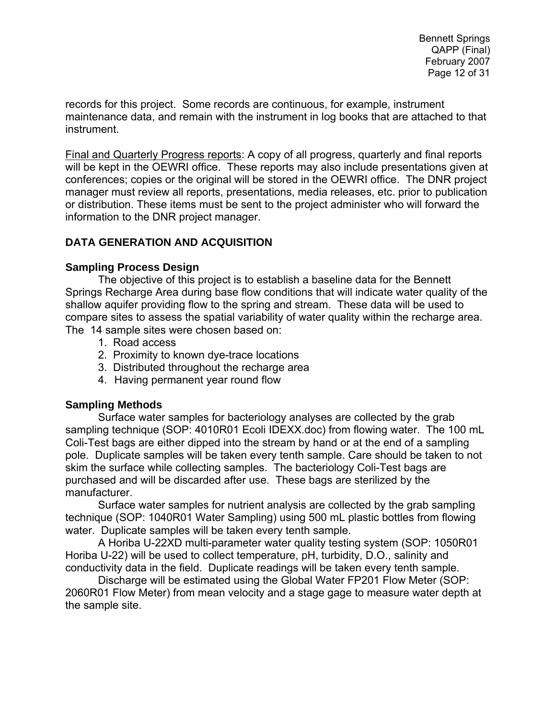records for this project. Some records are continuous, for example, instrument maintenance data, and remain with the instrument in log books that are attached to that instrument.

Final and Quarterly Progress reports: A copy of all progress, quarterly and final reports will be kept in the OEWRI office. These reports may also include presentations given at conferences; copies or the original will be stored in the OEWRI office. The DNR project manager must review all reports, presentations, media releases, etc. prior to publication or distribution. These items must be sent to the project administer who will forward the information to the DNR project manager.

### **DATA GENERATION AND ACQUISITION**

#### **Sampling Process Design**

The objective of this project is to establish a baseline data for the Bennett Springs Recharge Area during base flow conditions that will indicate water quality of the shallow aquifer providing flow to the spring and stream. These data will be used to compare sites to assess the spatial variability of water quality within the recharge area. The 14 sample sites were chosen based on:

- 1. Road access
- 2. Proximity to known dye-trace locations
- 3. Distributed throughout the recharge area
- 4. Having permanent year round flow

#### **Sampling Methods**

Surface water samples for bacteriology analyses are collected by the grab sampling technique (SOP: 4010R01 Ecoli IDEXX.doc) from flowing water. The 100 mL Coli-Test bags are either dipped into the stream by hand or at the end of a sampling pole. Duplicate samples will be taken every tenth sample. Care should be taken to not skim the surface while collecting samples. The bacteriology Coli-Test bags are purchased and will be discarded after use. These bags are sterilized by the manufacturer.

 Surface water samples for nutrient analysis are collected by the grab sampling technique (SOP: 1040R01 Water Sampling) using 500 mL plastic bottles from flowing water. Duplicate samples will be taken every tenth sample.

A Horiba U-22XD multi-parameter water quality testing system (SOP: 1050R01 Horiba U-22) will be used to collect temperature, pH, turbidity, D.O., salinity and conductivity data in the field. Duplicate readings will be taken every tenth sample.

Discharge will be estimated using the Global Water FP201 Flow Meter (SOP: 2060R01 Flow Meter) from mean velocity and a stage gage to measure water depth at the sample site.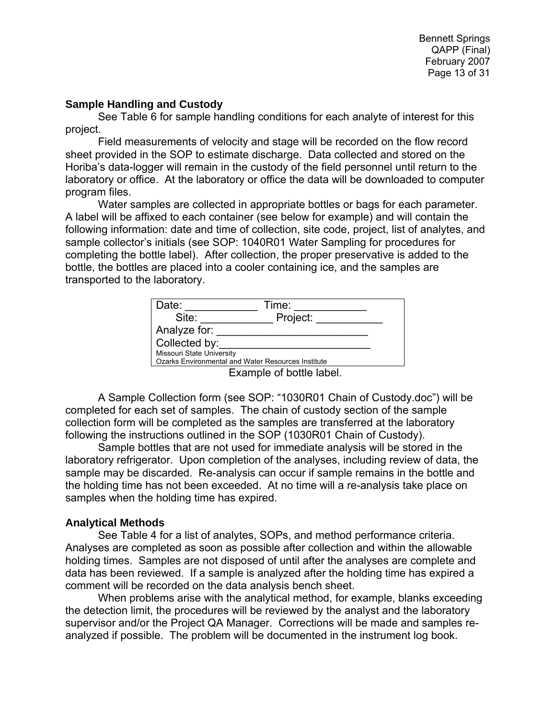Bennett Springs QAPP (Final) February 2007 Page 13 of 31

#### **Sample Handling and Custody**

 See Table 6 for sample handling conditions for each analyte of interest for this project.

 Field measurements of velocity and stage will be recorded on the flow record sheet provided in the SOP to estimate discharge. Data collected and stored on the Horiba's data-logger will remain in the custody of the field personnel until return to the laboratory or office. At the laboratory or office the data will be downloaded to computer program files.

 Water samples are collected in appropriate bottles or bags for each parameter. A label will be affixed to each container (see below for example) and will contain the following information: date and time of collection, site code, project, list of analytes, and sample collector's initials (see SOP: 1040R01 Water Sampling for procedures for completing the bottle label). After collection, the proper preservative is added to the bottle, the bottles are placed into a cooler containing ice, and the samples are transported to the laboratory.

| Date:                                              | Time:    |  |  |  |
|----------------------------------------------------|----------|--|--|--|
| Site:                                              | Project: |  |  |  |
| Analyze for:                                       |          |  |  |  |
| Collected by:                                      |          |  |  |  |
| Missouri State University                          |          |  |  |  |
| Ozarks Environmental and Water Resources Institute |          |  |  |  |
| Evample of bottle label                            |          |  |  |  |

Example of bottle label.

A Sample Collection form (see SOP: "1030R01 Chain of Custody.doc") will be completed for each set of samples. The chain of custody section of the sample collection form will be completed as the samples are transferred at the laboratory following the instructions outlined in the SOP (1030R01 Chain of Custody).

Sample bottles that are not used for immediate analysis will be stored in the laboratory refrigerator. Upon completion of the analyses, including review of data, the sample may be discarded. Re-analysis can occur if sample remains in the bottle and the holding time has not been exceeded. At no time will a re-analysis take place on samples when the holding time has expired.

#### **Analytical Methods**

 See Table 4 for a list of analytes, SOPs, and method performance criteria. Analyses are completed as soon as possible after collection and within the allowable holding times. Samples are not disposed of until after the analyses are complete and data has been reviewed. If a sample is analyzed after the holding time has expired a comment will be recorded on the data analysis bench sheet.

 When problems arise with the analytical method, for example, blanks exceeding the detection limit, the procedures will be reviewed by the analyst and the laboratory supervisor and/or the Project QA Manager. Corrections will be made and samples reanalyzed if possible. The problem will be documented in the instrument log book.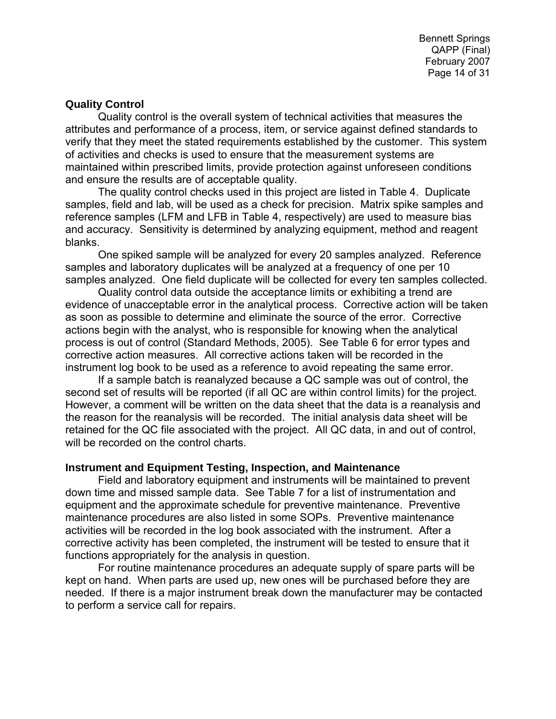Bennett Springs QAPP (Final) February 2007 Page 14 of 31

#### **Quality Control**

 Quality control is the overall system of technical activities that measures the attributes and performance of a process, item, or service against defined standards to verify that they meet the stated requirements established by the customer. This system of activities and checks is used to ensure that the measurement systems are maintained within prescribed limits, provide protection against unforeseen conditions and ensure the results are of acceptable quality.

 The quality control checks used in this project are listed in Table 4. Duplicate samples, field and lab, will be used as a check for precision. Matrix spike samples and reference samples (LFM and LFB in Table 4, respectively) are used to measure bias and accuracy. Sensitivity is determined by analyzing equipment, method and reagent blanks.

 One spiked sample will be analyzed for every 20 samples analyzed. Reference samples and laboratory duplicates will be analyzed at a frequency of one per 10 samples analyzed. One field duplicate will be collected for every ten samples collected.

 Quality control data outside the acceptance limits or exhibiting a trend are evidence of unacceptable error in the analytical process. Corrective action will be taken as soon as possible to determine and eliminate the source of the error. Corrective actions begin with the analyst, who is responsible for knowing when the analytical process is out of control (Standard Methods, 2005). See Table 6 for error types and corrective action measures. All corrective actions taken will be recorded in the instrument log book to be used as a reference to avoid repeating the same error.

If a sample batch is reanalyzed because a QC sample was out of control, the second set of results will be reported (if all QC are within control limits) for the project. However, a comment will be written on the data sheet that the data is a reanalysis and the reason for the reanalysis will be recorded. The initial analysis data sheet will be retained for the QC file associated with the project. All QC data, in and out of control, will be recorded on the control charts.

#### **Instrument and Equipment Testing, Inspection, and Maintenance**

 Field and laboratory equipment and instruments will be maintained to prevent down time and missed sample data. See Table 7 for a list of instrumentation and equipment and the approximate schedule for preventive maintenance. Preventive maintenance procedures are also listed in some SOPs. Preventive maintenance activities will be recorded in the log book associated with the instrument. After a corrective activity has been completed, the instrument will be tested to ensure that it functions appropriately for the analysis in question.

 For routine maintenance procedures an adequate supply of spare parts will be kept on hand. When parts are used up, new ones will be purchased before they are needed. If there is a major instrument break down the manufacturer may be contacted to perform a service call for repairs.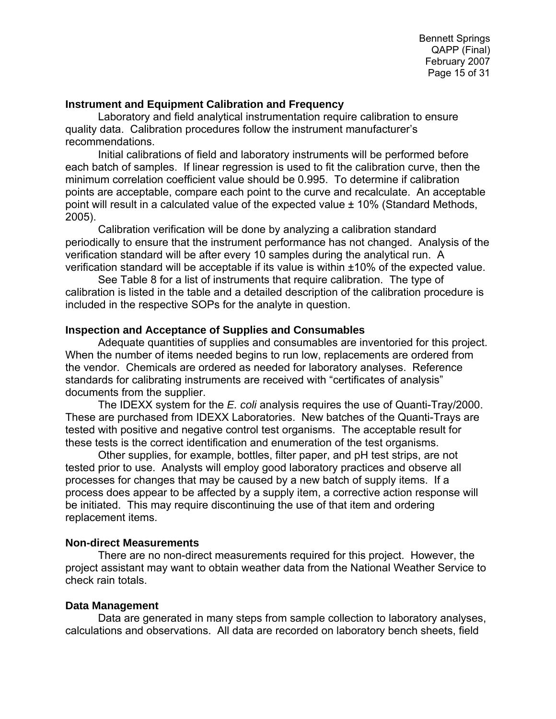#### **Instrument and Equipment Calibration and Frequency**

 Laboratory and field analytical instrumentation require calibration to ensure quality data. Calibration procedures follow the instrument manufacturer's recommendations.

Initial calibrations of field and laboratory instruments will be performed before each batch of samples. If linear regression is used to fit the calibration curve, then the minimum correlation coefficient value should be 0.995. To determine if calibration points are acceptable, compare each point to the curve and recalculate. An acceptable point will result in a calculated value of the expected value ± 10% (Standard Methods, 2005).

Calibration verification will be done by analyzing a calibration standard periodically to ensure that the instrument performance has not changed. Analysis of the verification standard will be after every 10 samples during the analytical run. A verification standard will be acceptable if its value is within ±10% of the expected value.

See Table 8 for a list of instruments that require calibration. The type of calibration is listed in the table and a detailed description of the calibration procedure is included in the respective SOPs for the analyte in question.

#### **Inspection and Acceptance of Supplies and Consumables**

 Adequate quantities of supplies and consumables are inventoried for this project. When the number of items needed begins to run low, replacements are ordered from the vendor. Chemicals are ordered as needed for laboratory analyses. Reference standards for calibrating instruments are received with "certificates of analysis" documents from the supplier.

 The IDEXX system for the *E. coli* analysis requires the use of Quanti-Tray/2000. These are purchased from IDEXX Laboratories. New batches of the Quanti-Trays are tested with positive and negative control test organisms. The acceptable result for these tests is the correct identification and enumeration of the test organisms.

 Other supplies, for example, bottles, filter paper, and pH test strips, are not tested prior to use. Analysts will employ good laboratory practices and observe all processes for changes that may be caused by a new batch of supply items. If a process does appear to be affected by a supply item, a corrective action response will be initiated. This may require discontinuing the use of that item and ordering replacement items.

#### **Non-direct Measurements**

There are no non-direct measurements required for this project. However, the project assistant may want to obtain weather data from the National Weather Service to check rain totals.

#### **Data Management**

Data are generated in many steps from sample collection to laboratory analyses, calculations and observations. All data are recorded on laboratory bench sheets, field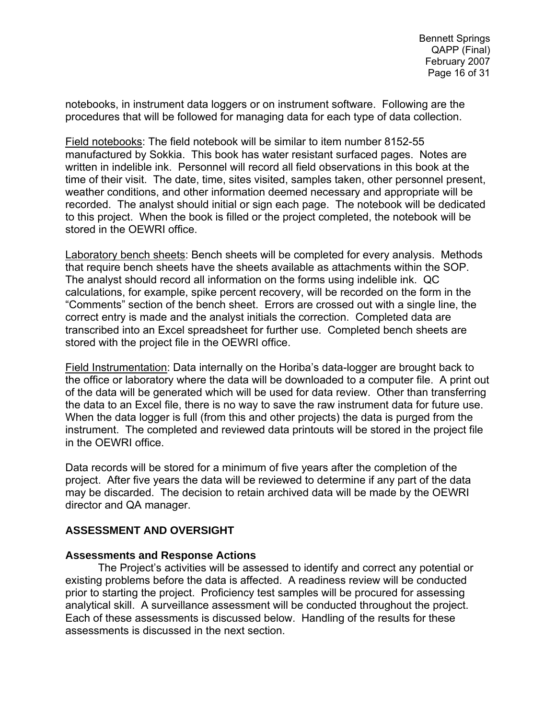notebooks, in instrument data loggers or on instrument software. Following are the procedures that will be followed for managing data for each type of data collection.

Field notebooks: The field notebook will be similar to item number 8152-55 manufactured by Sokkia. This book has water resistant surfaced pages. Notes are written in indelible ink. Personnel will record all field observations in this book at the time of their visit. The date, time, sites visited, samples taken, other personnel present, weather conditions, and other information deemed necessary and appropriate will be recorded. The analyst should initial or sign each page. The notebook will be dedicated to this project. When the book is filled or the project completed, the notebook will be stored in the OEWRI office.

Laboratory bench sheets: Bench sheets will be completed for every analysis. Methods that require bench sheets have the sheets available as attachments within the SOP. The analyst should record all information on the forms using indelible ink. QC calculations, for example, spike percent recovery, will be recorded on the form in the "Comments" section of the bench sheet. Errors are crossed out with a single line, the correct entry is made and the analyst initials the correction. Completed data are transcribed into an Excel spreadsheet for further use. Completed bench sheets are stored with the project file in the OEWRI office.

Field Instrumentation: Data internally on the Horiba's data-logger are brought back to the office or laboratory where the data will be downloaded to a computer file. A print out of the data will be generated which will be used for data review. Other than transferring the data to an Excel file, there is no way to save the raw instrument data for future use. When the data logger is full (from this and other projects) the data is purged from the instrument. The completed and reviewed data printouts will be stored in the project file in the OEWRI office.

Data records will be stored for a minimum of five years after the completion of the project. After five years the data will be reviewed to determine if any part of the data may be discarded. The decision to retain archived data will be made by the OEWRI director and QA manager.

#### **ASSESSMENT AND OVERSIGHT**

#### **Assessments and Response Actions**

 The Project's activities will be assessed to identify and correct any potential or existing problems before the data is affected. A readiness review will be conducted prior to starting the project. Proficiency test samples will be procured for assessing analytical skill. A surveillance assessment will be conducted throughout the project. Each of these assessments is discussed below. Handling of the results for these assessments is discussed in the next section.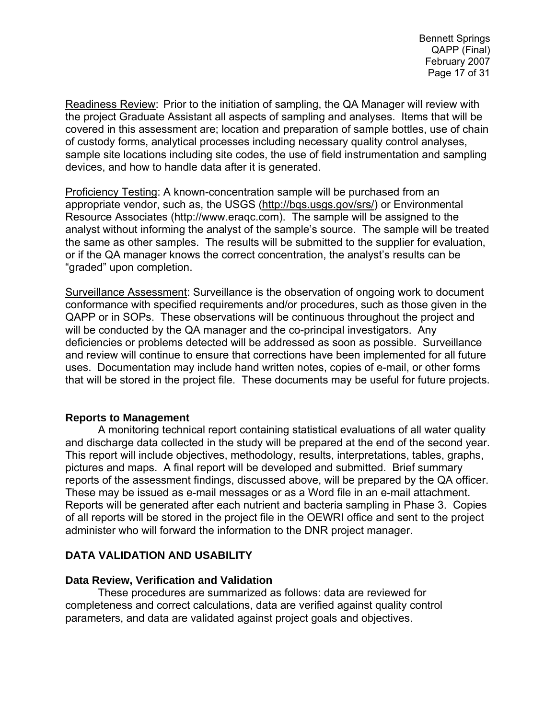Readiness Review: Prior to the initiation of sampling, the QA Manager will review with the project Graduate Assistant all aspects of sampling and analyses. Items that will be covered in this assessment are; location and preparation of sample bottles, use of chain of custody forms, analytical processes including necessary quality control analyses, sample site locations including site codes, the use of field instrumentation and sampling devices, and how to handle data after it is generated.

Proficiency Testing: A known-concentration sample will be purchased from an appropriate vendor, such as, the USGS (http://bqs.usgs.gov/srs/) or Environmental Resource Associates (http://www.eraqc.com). The sample will be assigned to the analyst without informing the analyst of the sample's source. The sample will be treated the same as other samples. The results will be submitted to the supplier for evaluation, or if the QA manager knows the correct concentration, the analyst's results can be "graded" upon completion.

Surveillance Assessment: Surveillance is the observation of ongoing work to document conformance with specified requirements and/or procedures, such as those given in the QAPP or in SOPs. These observations will be continuous throughout the project and will be conducted by the QA manager and the co-principal investigators. Any deficiencies or problems detected will be addressed as soon as possible. Surveillance and review will continue to ensure that corrections have been implemented for all future uses. Documentation may include hand written notes, copies of e-mail, or other forms that will be stored in the project file. These documents may be useful for future projects.

#### **Reports to Management**

 A monitoring technical report containing statistical evaluations of all water quality and discharge data collected in the study will be prepared at the end of the second year. This report will include objectives, methodology, results, interpretations, tables, graphs, pictures and maps. A final report will be developed and submitted. Brief summary reports of the assessment findings, discussed above, will be prepared by the QA officer. These may be issued as e-mail messages or as a Word file in an e-mail attachment. Reports will be generated after each nutrient and bacteria sampling in Phase 3. Copies of all reports will be stored in the project file in the OEWRI office and sent to the project administer who will forward the information to the DNR project manager.

### **DATA VALIDATION AND USABILITY**

#### **Data Review, Verification and Validation**

These procedures are summarized as follows: data are reviewed for completeness and correct calculations, data are verified against quality control parameters, and data are validated against project goals and objectives.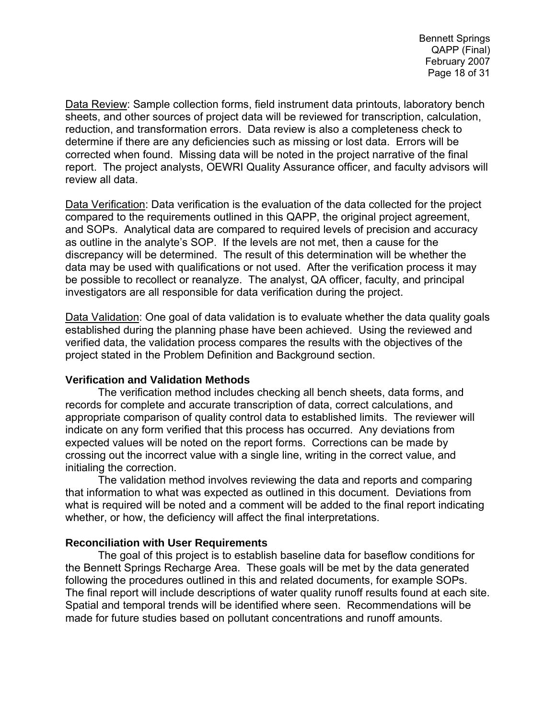Data Review: Sample collection forms, field instrument data printouts, laboratory bench sheets, and other sources of project data will be reviewed for transcription, calculation, reduction, and transformation errors. Data review is also a completeness check to determine if there are any deficiencies such as missing or lost data. Errors will be corrected when found. Missing data will be noted in the project narrative of the final report. The project analysts, OEWRI Quality Assurance officer, and faculty advisors will review all data.

Data Verification: Data verification is the evaluation of the data collected for the project compared to the requirements outlined in this QAPP, the original project agreement, and SOPs. Analytical data are compared to required levels of precision and accuracy as outline in the analyte's SOP. If the levels are not met, then a cause for the discrepancy will be determined. The result of this determination will be whether the data may be used with qualifications or not used. After the verification process it may be possible to recollect or reanalyze. The analyst, QA officer, faculty, and principal investigators are all responsible for data verification during the project.

Data Validation: One goal of data validation is to evaluate whether the data quality goals established during the planning phase have been achieved. Using the reviewed and verified data, the validation process compares the results with the objectives of the project stated in the Problem Definition and Background section.

#### **Verification and Validation Methods**

The verification method includes checking all bench sheets, data forms, and records for complete and accurate transcription of data, correct calculations, and appropriate comparison of quality control data to established limits. The reviewer will indicate on any form verified that this process has occurred. Any deviations from expected values will be noted on the report forms. Corrections can be made by crossing out the incorrect value with a single line, writing in the correct value, and initialing the correction.

 The validation method involves reviewing the data and reports and comparing that information to what was expected as outlined in this document. Deviations from what is required will be noted and a comment will be added to the final report indicating whether, or how, the deficiency will affect the final interpretations.

#### **Reconciliation with User Requirements**

 The goal of this project is to establish baseline data for baseflow conditions for the Bennett Springs Recharge Area. These goals will be met by the data generated following the procedures outlined in this and related documents, for example SOPs. The final report will include descriptions of water quality runoff results found at each site. Spatial and temporal trends will be identified where seen. Recommendations will be made for future studies based on pollutant concentrations and runoff amounts.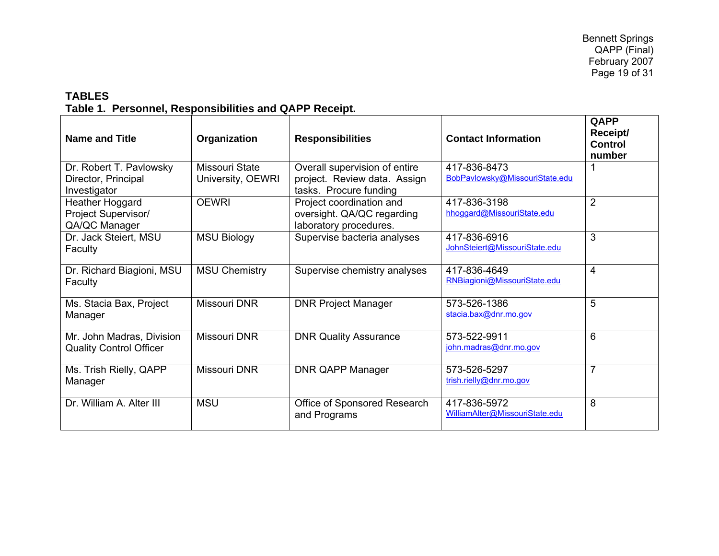### **TABLES Table 1. Personnel, Responsibilities and QAPP Receipt.**

| <b>Name and Title</b>                                          | Organization                        | <b>Responsibilities</b>                                                                 | <b>Contact Information</b>                     | QAPP<br>Receipt/<br><b>Control</b><br>number |
|----------------------------------------------------------------|-------------------------------------|-----------------------------------------------------------------------------------------|------------------------------------------------|----------------------------------------------|
| Dr. Robert T. Pavlowsky<br>Director, Principal<br>Investigator | Missouri State<br>University, OEWRI | Overall supervision of entire<br>project. Review data. Assign<br>tasks. Procure funding | 417-836-8473<br>BobPavlowsky@MissouriState.edu |                                              |
| Heather Hoggard<br><b>Project Supervisor/</b><br>QA/QC Manager | <b>OEWRI</b>                        | Project coordination and<br>oversight. QA/QC regarding<br>laboratory procedures.        | 417-836-3198<br>hhoggard@MissouriState.edu     | 2                                            |
| Dr. Jack Steiert, MSU<br>Faculty                               | <b>MSU Biology</b>                  | Supervise bacteria analyses                                                             | 417-836-6916<br>JohnSteiert@MissouriState.edu  | 3                                            |
| Dr. Richard Biagioni, MSU<br>Faculty                           | <b>MSU Chemistry</b>                | Supervise chemistry analyses                                                            | 417-836-4649<br>RNBiagioni@MissouriState.edu   | $\overline{4}$                               |
| Ms. Stacia Bax, Project<br>Manager                             | Missouri DNR                        | <b>DNR Project Manager</b>                                                              | 573-526-1386<br>stacia.bax@dnr.mo.gov          | 5                                            |
| Mr. John Madras, Division<br><b>Quality Control Officer</b>    | <b>Missouri DNR</b>                 | <b>DNR Quality Assurance</b>                                                            | 573-522-9911<br>john.madras@dnr.mo.gov         | 6                                            |
| Ms. Trish Rielly, QAPP<br>Manager                              | Missouri DNR                        | <b>DNR QAPP Manager</b>                                                                 | 573-526-5297<br>trish.rielly@dnr.mo.gov        | $\overline{7}$                               |
| Dr. William A. Alter III                                       | <b>MSU</b>                          | Office of Sponsored Research<br>and Programs                                            | 417-836-5972<br>WilliamAlter@MissouriState.edu | 8                                            |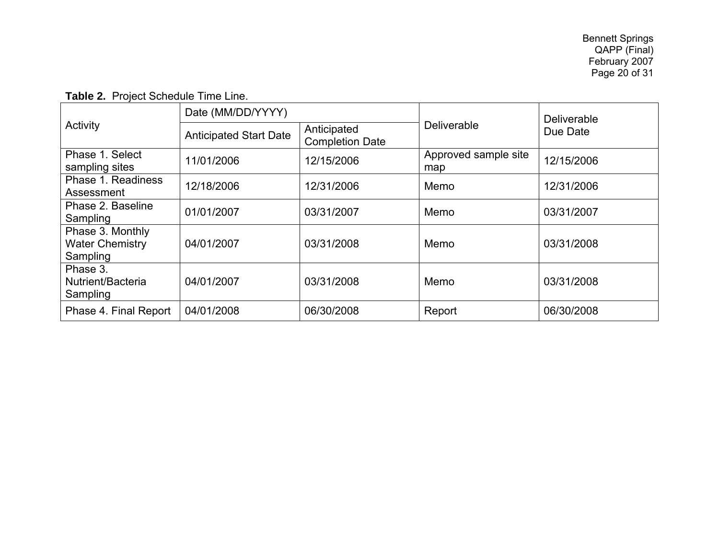| Activity                                               | Date (MM/DD/YYYY)             |                                       |                             | <b>Deliverable</b><br>Due Date |  |
|--------------------------------------------------------|-------------------------------|---------------------------------------|-----------------------------|--------------------------------|--|
|                                                        | <b>Anticipated Start Date</b> | Anticipated<br><b>Completion Date</b> | Deliverable                 |                                |  |
| Phase 1. Select<br>sampling sites                      | 11/01/2006                    | 12/15/2006                            | Approved sample site<br>map | 12/15/2006                     |  |
| Phase 1. Readiness<br>Assessment                       | 12/18/2006                    | 12/31/2006                            | Memo                        | 12/31/2006                     |  |
| Phase 2. Baseline<br>Sampling                          | 01/01/2007                    | 03/31/2007                            | Memo                        | 03/31/2007                     |  |
| Phase 3. Monthly<br><b>Water Chemistry</b><br>Sampling | 04/01/2007                    | 03/31/2008                            | Memo                        | 03/31/2008                     |  |
| Phase 3.<br>Nutrient/Bacteria<br>Sampling              | 04/01/2007                    | 03/31/2008                            | Memo                        | 03/31/2008                     |  |
| Phase 4. Final Report                                  | 04/01/2008                    | 06/30/2008                            | Report                      | 06/30/2008                     |  |

**Table 2.** Project Schedule Time Line.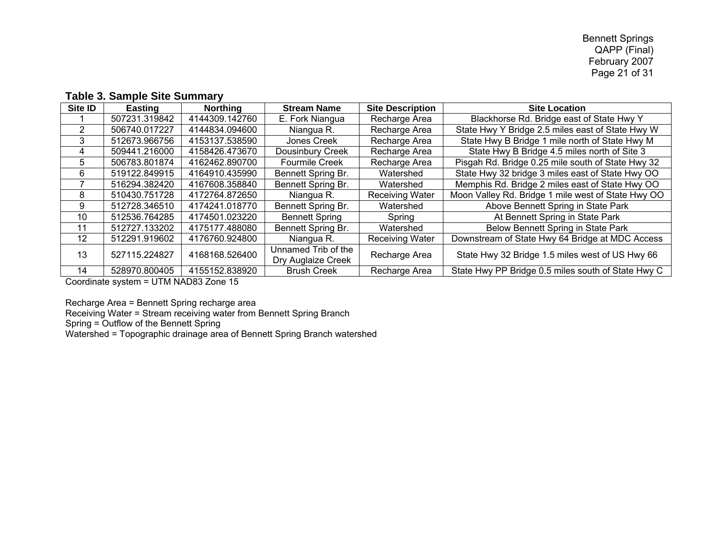#### **Table 3. Sample Site Summary**

| Site ID           | <b>Easting</b> | <b>Northing</b> | <b>Stream Name</b>                        | <b>Site Description</b> | <b>Site Location</b>                               |
|-------------------|----------------|-----------------|-------------------------------------------|-------------------------|----------------------------------------------------|
|                   | 507231.319842  | 4144309.142760  | E. Fork Niangua                           | Recharge Area           | Blackhorse Rd. Bridge east of State Hwy Y          |
| 2                 | 506740.017227  | 4144834.094600  | Niangua R.                                | Recharge Area           | State Hwy Y Bridge 2.5 miles east of State Hwy W   |
| 3                 | 512673.966756  | 4153137.538590  | Jones Creek                               | Recharge Area           | State Hwy B Bridge 1 mile north of State Hwy M     |
| 4                 | 509441.216000  | 4158426.473670  | Dousinbury Creek                          | Recharge Area           | State Hwy B Bridge 4.5 miles north of Site 3       |
| 5.                | 506783.801874  | 4162462.890700  | <b>Fourmile Creek</b>                     | Recharge Area           | Pisgah Rd. Bridge 0.25 mile south of State Hwy 32  |
| 6                 | 519122.849915  | 4164910.435990  | Bennett Spring Br.                        | Watershed               | State Hwy 32 bridge 3 miles east of State Hwy OO   |
|                   | 516294.382420  | 4167608.358840  | Bennett Spring Br.                        | Watershed               | Memphis Rd. Bridge 2 miles east of State Hwy OO    |
| 8                 | 510430.751728  | 4172764.872650  | Niangua R.                                | <b>Receiving Water</b>  | Moon Valley Rd. Bridge 1 mile west of State Hwy OO |
| 9                 | 512728.346510  | 4174241.018770  | Bennett Spring Br.                        | Watershed               | Above Bennett Spring in State Park                 |
| 10 <sup>1</sup>   | 512536.764285  | 4174501.023220  | <b>Bennett Spring</b>                     | Spring                  | At Bennett Spring in State Park                    |
| 11                | 512727.133202  | 4175177.488080  | Bennett Spring Br.                        | Watershed               | Below Bennett Spring in State Park                 |
| $12 \overline{ }$ | 512291.919602  | 4176760.924800  | Niangua R.                                | <b>Receiving Water</b>  | Downstream of State Hwy 64 Bridge at MDC Access    |
| 13                | 527115.224827  | 4168168.526400  | Unnamed Trib of the<br>Dry Auglaize Creek | Recharge Area           | State Hwy 32 Bridge 1.5 miles west of US Hwy 66    |
| 14                | 528970.800405  | 4155152.838920  | <b>Brush Creek</b>                        | Recharge Area           | State Hwy PP Bridge 0.5 miles south of State Hwy C |

Coordinate system = UTM NAD83 Zone 15

Recharge Area = Bennett Spring recharge area

Receiving Water = Stream receiving water from Bennett Spring Branch

Spring = Outflow of the Bennett Spring

Watershed = Topographic drainage area of Bennett Spring Branch watershed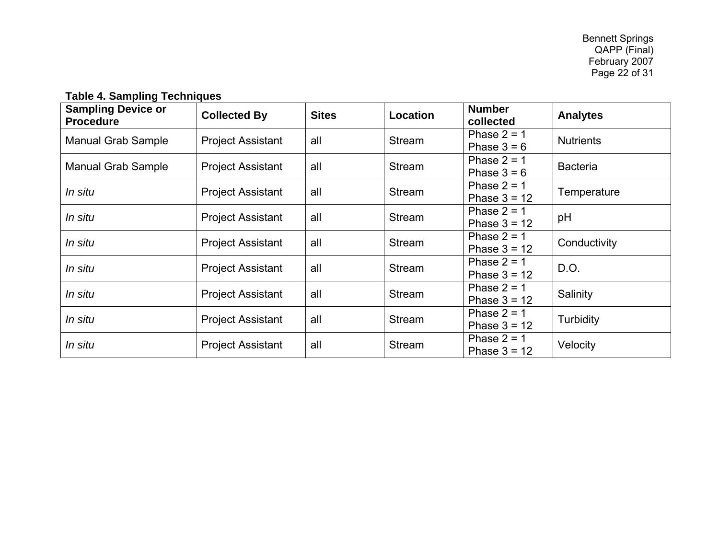**Table 4. Sampling Techniques** 

| <b>Sampling Device or</b><br><b>Procedure</b> | <b>Collected By</b>      | <b>Sites</b> | <b>Location</b> | <b>Number</b><br>collected      | <b>Analytes</b>  |
|-----------------------------------------------|--------------------------|--------------|-----------------|---------------------------------|------------------|
| <b>Manual Grab Sample</b>                     | <b>Project Assistant</b> | all          | Stream          | Phase $2 = 1$<br>Phase $3 = 6$  | <b>Nutrients</b> |
| <b>Manual Grab Sample</b>                     | <b>Project Assistant</b> | all          | Stream          | Phase $2 = 1$<br>Phase $3 = 6$  | <b>Bacteria</b>  |
| In situ                                       | <b>Project Assistant</b> | all          | Stream          | Phase $2 = 1$<br>Phase $3 = 12$ | Temperature      |
| In situ                                       | <b>Project Assistant</b> | all          | Stream          | Phase $2 = 1$<br>Phase $3 = 12$ | pH               |
| In situ                                       | <b>Project Assistant</b> | all          | Stream          | Phase $2 = 1$<br>Phase $3 = 12$ | Conductivity     |
| In situ                                       | <b>Project Assistant</b> | all          | Stream          | Phase $2 = 1$<br>Phase $3 = 12$ | D.O.             |
| In situ                                       | <b>Project Assistant</b> | all          | Stream          | Phase $2 = 1$<br>Phase $3 = 12$ | Salinity         |
| In situ                                       | <b>Project Assistant</b> | all          | Stream          | Phase $2 = 1$<br>Phase $3 = 12$ | Turbidity        |
| In situ                                       | <b>Project Assistant</b> | all          | Stream          | Phase $2 = 1$<br>Phase $3 = 12$ | Velocity         |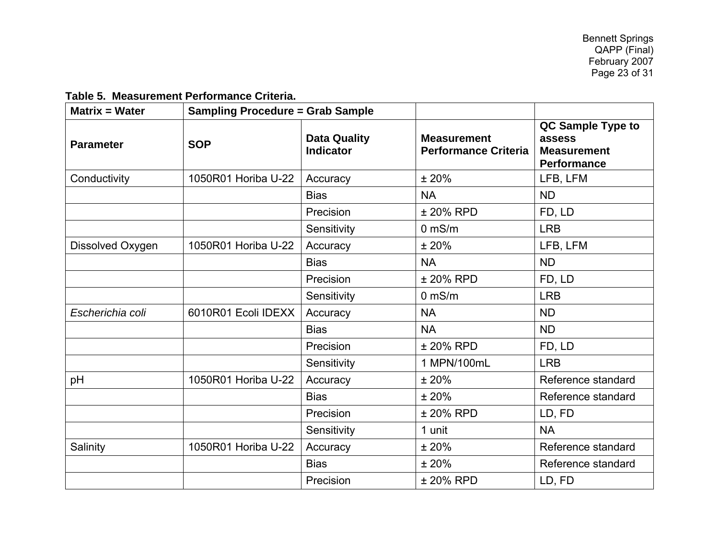#### **Table 5. Measurement Performance Criteria.**

| <b>Matrix = Water</b> | <b>Sampling Procedure = Grab Sample</b> |                                         |                                                   |                                                                         |
|-----------------------|-----------------------------------------|-----------------------------------------|---------------------------------------------------|-------------------------------------------------------------------------|
| <b>Parameter</b>      | <b>SOP</b>                              | <b>Data Quality</b><br><b>Indicator</b> | <b>Measurement</b><br><b>Performance Criteria</b> | QC Sample Type to<br>assess<br><b>Measurement</b><br><b>Performance</b> |
| Conductivity          | 1050R01 Horiba U-22                     | Accuracy                                | ±20%                                              | LFB, LFM                                                                |
|                       |                                         | <b>Bias</b>                             | <b>NA</b>                                         | <b>ND</b>                                                               |
|                       |                                         | Precision                               | ± 20% RPD                                         | FD, LD                                                                  |
|                       |                                         | Sensitivity                             | $0$ mS/m                                          | <b>LRB</b>                                                              |
| Dissolved Oxygen      | 1050R01 Horiba U-22                     | Accuracy                                | ±20%                                              | LFB, LFM                                                                |
|                       |                                         | <b>Bias</b>                             | <b>NA</b>                                         | <b>ND</b>                                                               |
|                       |                                         | Precision                               | ± 20% RPD                                         | FD, LD                                                                  |
|                       |                                         | Sensitivity                             | $0$ mS/m                                          | <b>LRB</b>                                                              |
| Escherichia coli      | 6010R01 Ecoli IDEXX                     | Accuracy                                | <b>NA</b>                                         | <b>ND</b>                                                               |
|                       |                                         | <b>Bias</b>                             | <b>NA</b>                                         | <b>ND</b>                                                               |
|                       |                                         | Precision                               | ± 20% RPD                                         | FD, LD                                                                  |
|                       |                                         | Sensitivity                             | 1 MPN/100mL                                       | <b>LRB</b>                                                              |
| pH                    | 1050R01 Horiba U-22                     | Accuracy                                | ±20%                                              | Reference standard                                                      |
|                       |                                         | <b>Bias</b>                             | ±20%                                              | Reference standard                                                      |
|                       |                                         | Precision                               | ± 20% RPD                                         | LD, FD                                                                  |
|                       |                                         | Sensitivity                             | 1 unit                                            | <b>NA</b>                                                               |
| Salinity              | 1050R01 Horiba U-22                     | Accuracy                                | ±20%                                              | Reference standard                                                      |
|                       |                                         | <b>Bias</b>                             | ±20%                                              | Reference standard                                                      |
|                       |                                         | Precision                               | ± 20% RPD                                         | LD, FD                                                                  |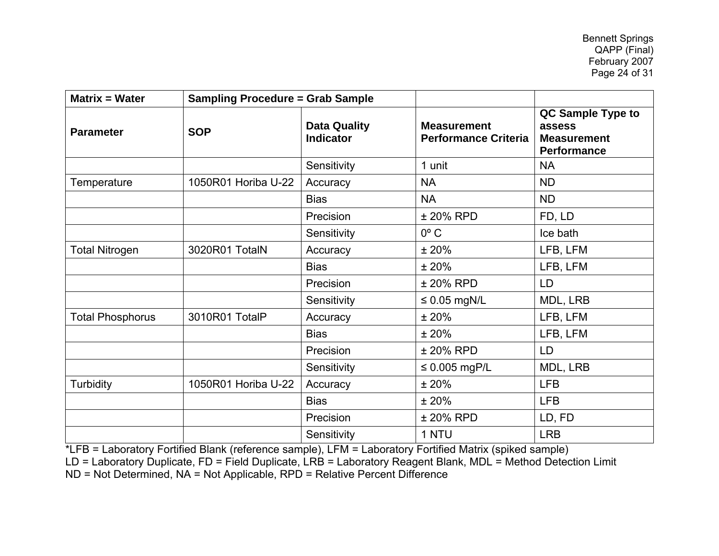| <b>Matrix = Water</b>   | <b>Sampling Procedure = Grab Sample</b> |                                         |                                                   |                                                                         |
|-------------------------|-----------------------------------------|-----------------------------------------|---------------------------------------------------|-------------------------------------------------------------------------|
| <b>Parameter</b>        | <b>SOP</b>                              | <b>Data Quality</b><br><b>Indicator</b> | <b>Measurement</b><br><b>Performance Criteria</b> | QC Sample Type to<br>assess<br><b>Measurement</b><br><b>Performance</b> |
|                         |                                         | Sensitivity                             | 1 unit                                            | <b>NA</b>                                                               |
| Temperature             | 1050R01 Horiba U-22                     | Accuracy                                | <b>NA</b>                                         | <b>ND</b>                                                               |
|                         |                                         | <b>Bias</b>                             | <b>NA</b>                                         | <b>ND</b>                                                               |
|                         |                                         | Precision                               | ± 20% RPD                                         | FD, LD                                                                  |
|                         |                                         | Sensitivity                             | $0^{\circ}$ C                                     | Ice bath                                                                |
| <b>Total Nitrogen</b>   | 3020R01 TotalN                          | Accuracy                                | ±20%                                              | LFB, LFM                                                                |
|                         |                                         | <b>Bias</b>                             | ±20%                                              | LFB, LFM                                                                |
|                         |                                         | Precision                               | ± 20% RPD                                         | LD                                                                      |
|                         |                                         | Sensitivity                             | $\leq 0.05$ mgN/L                                 | MDL, LRB                                                                |
| <b>Total Phosphorus</b> | 3010R01 TotalP                          | Accuracy                                | ±20%                                              | LFB, LFM                                                                |
|                         |                                         | <b>Bias</b>                             | ±20%                                              | LFB, LFM                                                                |
|                         |                                         | Precision                               | ± 20% RPD                                         | LD                                                                      |
|                         |                                         | Sensitivity                             | $\leq 0.005$ mgP/L                                | MDL, LRB                                                                |
| <b>Turbidity</b>        | 1050R01 Horiba U-22                     | Accuracy                                | ±20%                                              | <b>LFB</b>                                                              |
|                         |                                         | <b>Bias</b>                             | ±20%                                              | <b>LFB</b>                                                              |
|                         |                                         | Precision                               | ± 20% RPD                                         | LD, FD                                                                  |
|                         |                                         | Sensitivity                             | 1 NTU                                             | <b>LRB</b>                                                              |

\*LFB = Laboratory Fortified Blank (reference sample), LFM = Laboratory Fortified Matrix (spiked sample)

LD = Laboratory Duplicate, FD = Field Duplicate, LRB = Laboratory Reagent Blank, MDL = Method Detection Limit

ND = Not Determined, NA = Not Applicable, RPD = Relative Percent Difference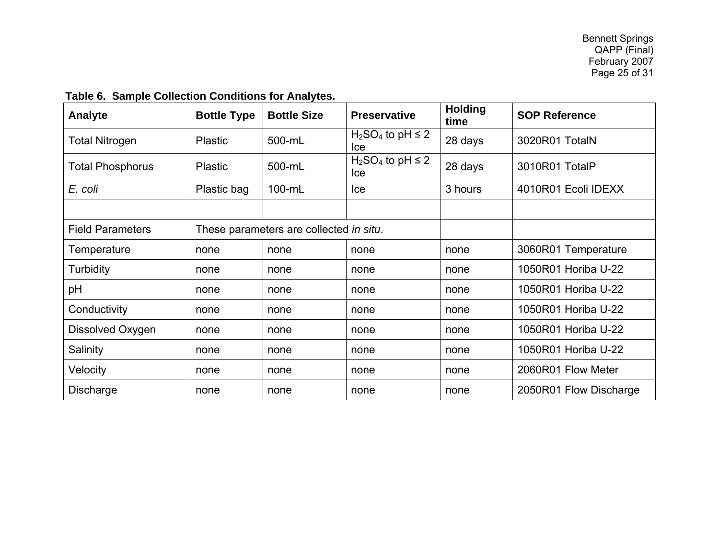| Analyte                 | <b>Bottle Type</b> | <b>Bottle Size</b>                      | <b>Preservative</b>             | <b>Holding</b><br>time | <b>SOP Reference</b>   |
|-------------------------|--------------------|-----------------------------------------|---------------------------------|------------------------|------------------------|
| <b>Total Nitrogen</b>   | <b>Plastic</b>     | 500-mL                                  | $H_2SO_4$ to pH $\leq$ 2<br>lce | 28 days                | 3020R01 TotalN         |
| Total Phosphorus        | <b>Plastic</b>     | 500-mL                                  | $H_2SO_4$ to pH $\leq$ 2<br>lce | 28 days                | 3010R01 TotalP         |
| E. coli                 | Plastic bag        | 100-mL                                  | <b>Ice</b>                      | 3 hours                | 4010R01 Ecoli IDEXX    |
|                         |                    |                                         |                                 |                        |                        |
| <b>Field Parameters</b> |                    | These parameters are collected in situ. |                                 |                        |                        |
| Temperature             | none               | none                                    | none                            | none                   | 3060R01 Temperature    |
| Turbidity               | none               | none                                    | none                            | none                   | 1050R01 Horiba U-22    |
| pH                      | none               | none                                    | none                            | none                   | 1050R01 Horiba U-22    |
| Conductivity            | none               | none                                    | none                            | none                   | 1050R01 Horiba U-22    |
| Dissolved Oxygen        | none               | none                                    | none                            | none                   | 1050R01 Horiba U-22    |
| Salinity                | none               | none                                    | none                            | none                   | 1050R01 Horiba U-22    |
| Velocity                | none               | none                                    | none                            | none                   | 2060R01 Flow Meter     |
| Discharge               | none               | none                                    | none                            | none                   | 2050R01 Flow Discharge |

### **Table 6. Sample Collection Conditions for Analytes.**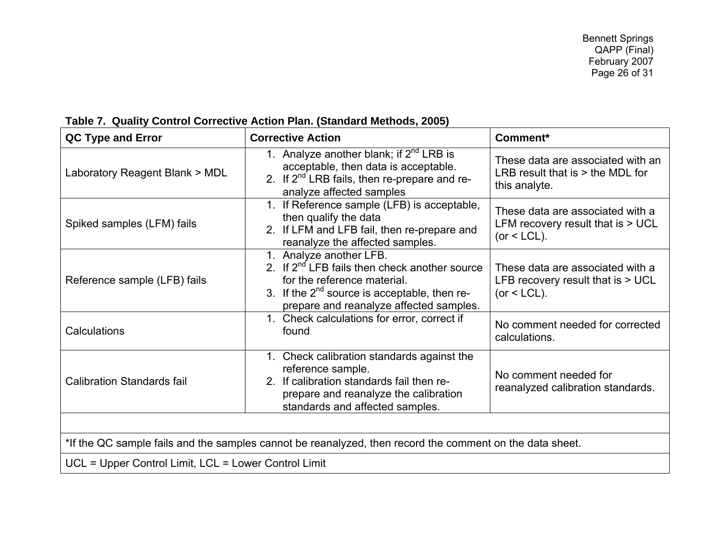| <b>Corrective Action</b>                                                                                                                                                                                     | Comment*                                                                                 |
|--------------------------------------------------------------------------------------------------------------------------------------------------------------------------------------------------------------|------------------------------------------------------------------------------------------|
| 1. Analyze another blank; if $2^{nd}$ LRB is<br>acceptable, then data is acceptable.<br>2. If $2^{nd}$ LRB fails, then re-prepare and re-<br>analyze affected samples                                        | These data are associated with an<br>LRB result that is $>$ the MDL for<br>this analyte. |
| 1. If Reference sample (LFB) is acceptable,<br>then qualify the data<br>2. If LFM and LFB fail, then re-prepare and<br>reanalyze the affected samples.                                                       | These data are associated with a<br>LFM recovery result that is > UCL<br>(or $<$ LCL).   |
| 1. Analyze another LFB.<br>2. If $2^{nd}$ LFB fails then check another source<br>for the reference material.<br>3. If the $2^{nd}$ source is acceptable, then re-<br>prepare and reanalyze affected samples. | These data are associated with a<br>LFB recovery result that is $> UCL$<br>(or $<$ LCL). |
| 1. Check calculations for error, correct if<br>found                                                                                                                                                         | No comment needed for corrected<br>calculations.                                         |
| 1. Check calibration standards against the<br>reference sample.<br>2. If calibration standards fail then re-<br>prepare and reanalyze the calibration<br>standards and affected samples.                     | No comment needed for<br>reanalyzed calibration standards.                               |
|                                                                                                                                                                                                              |                                                                                          |

#### **Table 7.Quality Control Corrective Action Plan. (Standard Methods, 2005)**

UCL = Upper Control Limit, LCL = Lower Control Limit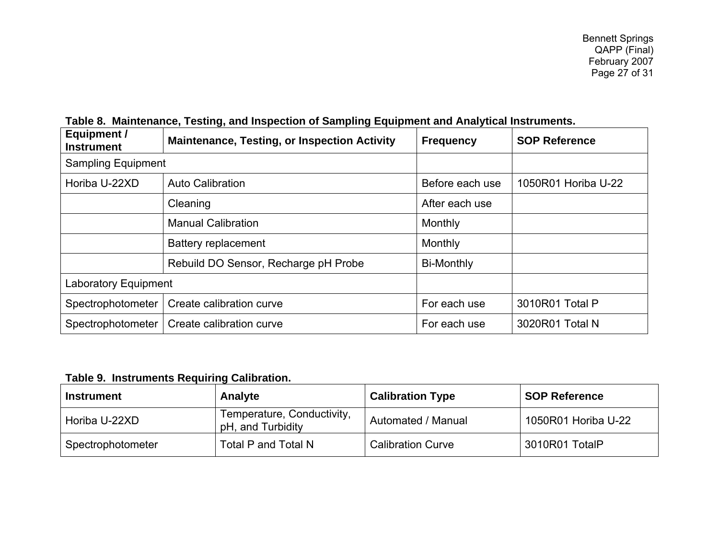| Equipment /<br><b>Instrument</b> | <b>Maintenance, Testing, or Inspection Activity</b> | <b>Frequency</b>  | <b>SOP Reference</b> |
|----------------------------------|-----------------------------------------------------|-------------------|----------------------|
| <b>Sampling Equipment</b>        |                                                     |                   |                      |
| Horiba U-22XD                    | <b>Auto Calibration</b>                             | Before each use   | 1050R01 Horiba U-22  |
|                                  | Cleaning                                            | After each use    |                      |
|                                  | <b>Manual Calibration</b>                           | Monthly           |                      |
|                                  | <b>Battery replacement</b>                          | Monthly           |                      |
|                                  | Rebuild DO Sensor, Recharge pH Probe                | <b>Bi-Monthly</b> |                      |
| <b>Laboratory Equipment</b>      |                                                     |                   |                      |
| Spectrophotometer                | Create calibration curve                            | For each use      | 3010R01 Total P      |
| Spectrophotometer                | Create calibration curve                            | For each use      | 3020R01 Total N      |

#### **Table 8. Maintenance, Testing, and Inspection of Sampling Equipment and Analytical Instruments.**

#### **Table 9. Instruments Requiring Calibration.**

| <b>Instrument</b> | Analyte                                         | <b>Calibration Type</b>  | <b>SOP Reference</b> |
|-------------------|-------------------------------------------------|--------------------------|----------------------|
| Horiba U-22XD     | Temperature, Conductivity,<br>pH, and Turbidity | Automated / Manual       | 1050R01 Horiba U-22  |
| Spectrophotometer | Total P and Total N                             | <b>Calibration Curve</b> | 3010R01 TotalP       |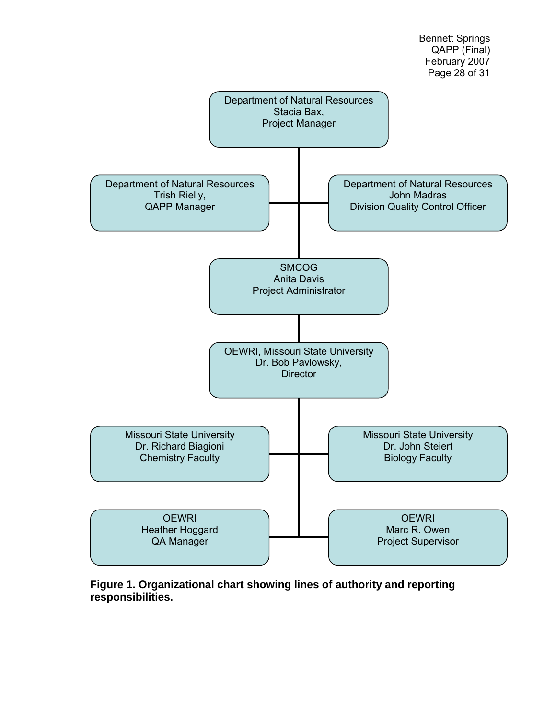

**Figure 1. Organizational chart showing lines of authority and reporting responsibilities.**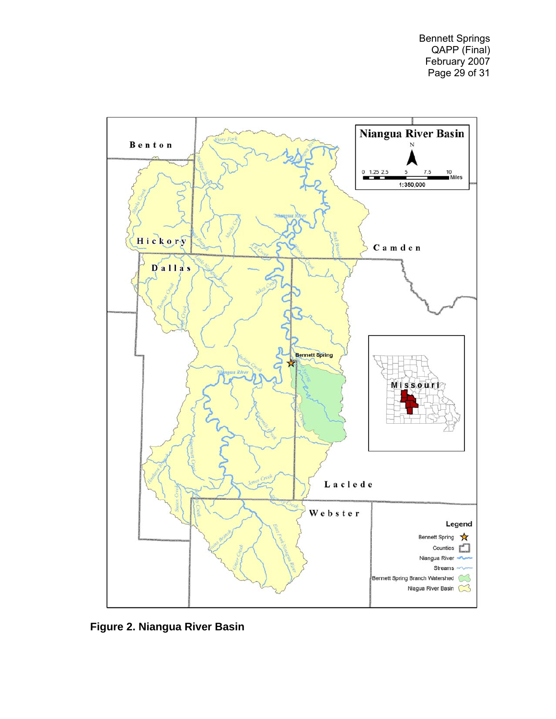

**Figure 2. Niangua River Basin**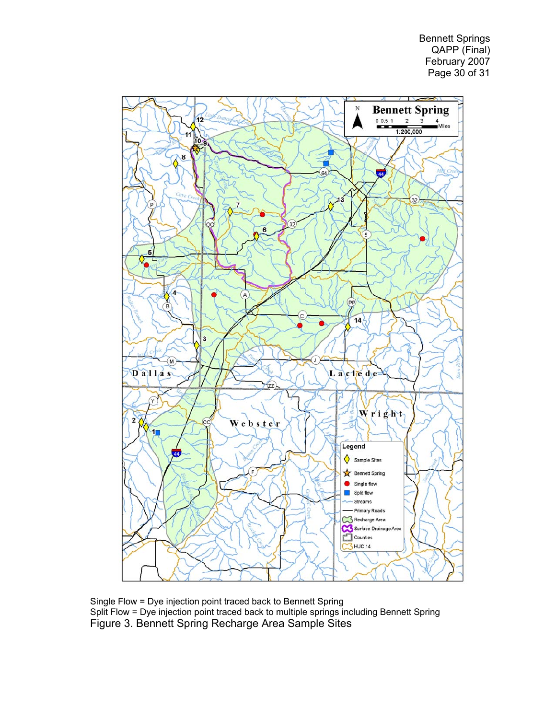Bennett Springs QAPP (Final) February 2007 Page 30 of 31



Single Flow = Dye injection point traced back to Bennett Spring Split Flow = Dye injection point traced back to multiple springs including Bennett Spring Figure 3. Bennett Spring Recharge Area Sample Sites